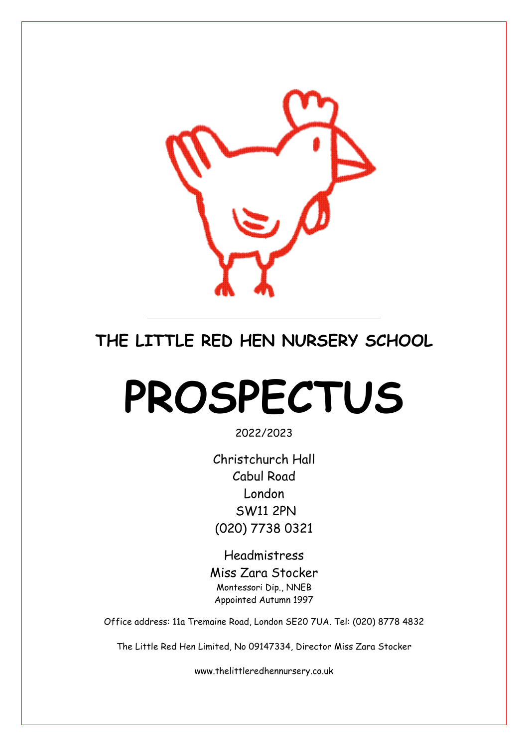

# **THE LITTLE RED HEN NURSERY SCHOOL**

# **PROSPECTUS**

2022/2023

Christchurch Hall Cabul Road London SW11 2PN (020) 7738 0321

Headmistress Miss Zara Stocker Montessori Dip., NNEB Appointed Autumn 1997

Office address: 11a Tremaine Road, London SE20 7UA. Tel: (020) 8778 4832

The Little Red Hen Limited, No 09147334, Director Miss Zara Stocker

www.thelittleredhennursery.co.uk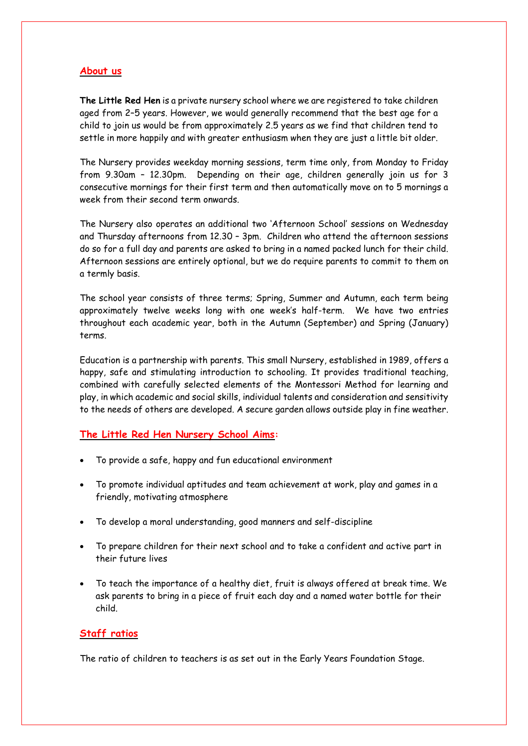#### **About us**

**The Little Red Hen** is a private nursery school where we are registered to take children aged from 2–5 years. However, we would generally recommend that the best age for a child to join us would be from approximately 2.5 years as we find that children tend to settle in more happily and with greater enthusiasm when they are just a little bit older.

The Nursery provides weekday morning sessions, term time only, from Monday to Friday from 9.30am – 12.30pm. Depending on their age, children generally join us for 3 consecutive mornings for their first term and then automatically move on to 5 mornings a week from their second term onwards.

The Nursery also operates an additional two 'Afternoon School' sessions on Wednesday and Thursday afternoons from 12.30 – 3pm. Children who attend the afternoon sessions do so for a full day and parents are asked to bring in a named packed lunch for their child. Afternoon sessions are entirely optional, but we do require parents to commit to them on a termly basis.

The school year consists of three terms; Spring, Summer and Autumn, each term being approximately twelve weeks long with one week's half-term. We have two entries throughout each academic year, both in the Autumn (September) and Spring (January) terms.

Education is a partnership with parents. This small Nursery, established in 1989, offers a happy, safe and stimulating introduction to schooling. It provides traditional teaching, combined with carefully selected elements of the Montessori Method for learning and play, in which academic and social skills, individual talents and consideration and sensitivity to the needs of others are developed. A secure garden allows outside play in fine weather.

#### **The Little Red Hen Nursery School Aims:**

- To provide a safe, happy and fun educational environment
- To promote individual aptitudes and team achievement at work, play and games in a friendly, motivating atmosphere
- To develop a moral understanding, good manners and self-discipline
- To prepare children for their next school and to take a confident and active part in their future lives
- To teach the importance of a healthy diet, fruit is always offered at break time. We ask parents to bring in a piece of fruit each day and a named water bottle for their child.

#### **Staff ratios**

The ratio of children to teachers is as set out in the Early Years Foundation Stage.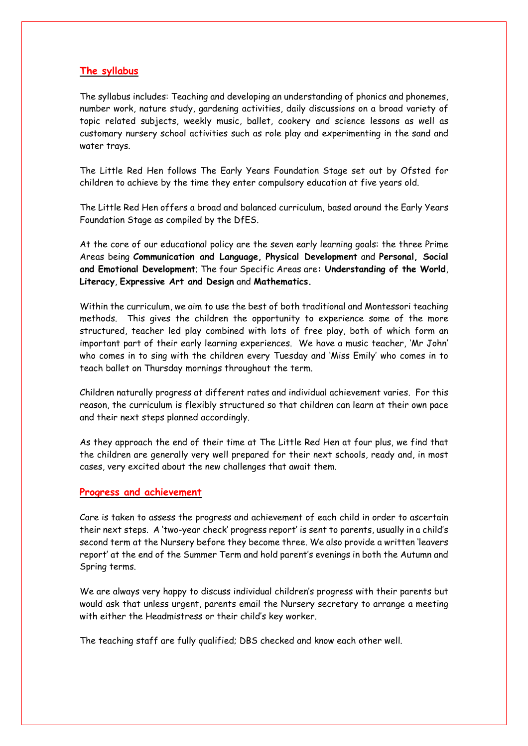#### **The syllabus**

The syllabus includes: Teaching and developing an understanding of phonics and phonemes, number work, nature study, gardening activities, daily discussions on a broad variety of topic related subjects, weekly music, ballet, cookery and science lessons as well as customary nursery school activities such as role play and experimenting in the sand and water trays.

The Little Red Hen follows The Early Years Foundation Stage set out by Ofsted for children to achieve by the time they enter compulsory education at five years old.

The Little Red Hen offers a broad and balanced curriculum, based around the Early Years Foundation Stage as compiled by the DfES.

At the core of our educational policy are the seven early learning goals: the three Prime Areas being **Communication and Language, Physical Development** and **Personal, Social and Emotional Development**; The four Specific Areas are**: Understanding of the World**, **Literacy**, **Expressive Art and Design** and **Mathematics.**

Within the curriculum, we aim to use the best of both traditional and Montessori teaching methods. This gives the children the opportunity to experience some of the more structured, teacher led play combined with lots of free play, both of which form an important part of their early learning experiences. We have a music teacher, 'Mr John' who comes in to sing with the children every Tuesday and 'Miss Emily' who comes in to teach ballet on Thursday mornings throughout the term.

Children naturally progress at different rates and individual achievement varies. For this reason, the curriculum is flexibly structured so that children can learn at their own pace and their next steps planned accordingly.

As they approach the end of their time at The Little Red Hen at four plus, we find that the children are generally very well prepared for their next schools, ready and, in most cases, very excited about the new challenges that await them.

#### **Progress and achievement**

Care is taken to assess the progress and achievement of each child in order to ascertain their next steps. A 'two-year check' progress report' is sent to parents, usually in a child's second term at the Nursery before they become three. We also provide a written 'leavers report' at the end of the Summer Term and hold parent's evenings in both the Autumn and Spring terms.

We are always very happy to discuss individual children's progress with their parents but would ask that unless urgent, parents email the Nursery secretary to arrange a meeting with either the Headmistress or their child's key worker.

The teaching staff are fully qualified; DBS checked and know each other well.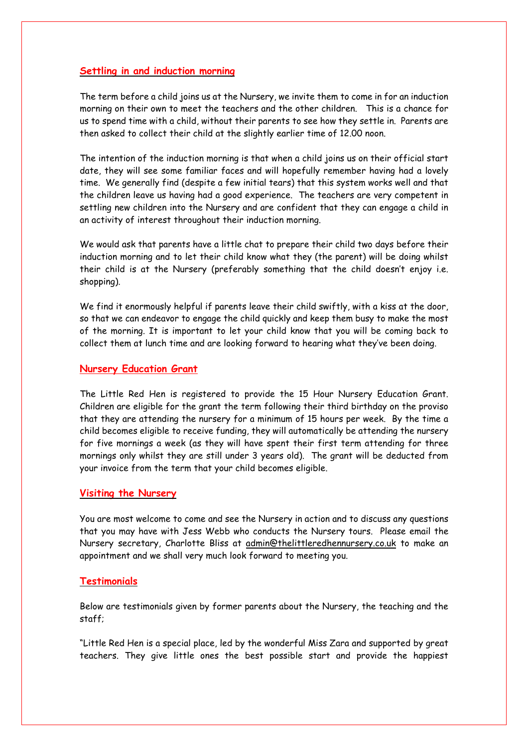#### **Settling in and induction morning**

The term before a child joins us at the Nursery, we invite them to come in for an induction morning on their own to meet the teachers and the other children. This is a chance for us to spend time with a child, without their parents to see how they settle in. Parents are then asked to collect their child at the slightly earlier time of 12.00 noon.

The intention of the induction morning is that when a child joins us on their official start date, they will see some familiar faces and will hopefully remember having had a lovely time. We generally find (despite a few initial tears) that this system works well and that the children leave us having had a good experience. The teachers are very competent in settling new children into the Nursery and are confident that they can engage a child in an activity of interest throughout their induction morning.

We would ask that parents have a little chat to prepare their child two days before their induction morning and to let their child know what they (the parent) will be doing whilst their child is at the Nursery (preferably something that the child doesn't enjoy i.e. shopping).

We find it enormously helpful if parents leave their child swiftly, with a kiss at the door, so that we can endeavor to engage the child quickly and keep them busy to make the most of the morning. It is important to let your child know that you will be coming back to collect them at lunch time and are looking forward to hearing what they've been doing.

#### **Nursery Education Grant**

The Little Red Hen is registered to provide the 15 Hour Nursery Education Grant. Children are eligible for the grant the term following their third birthday on the proviso that they are attending the nursery for a minimum of 15 hours per week. By the time a child becomes eligible to receive funding, they will automatically be attending the nursery for five mornings a week (as they will have spent their first term attending for three mornings only whilst they are still under 3 years old). The grant will be deducted from your invoice from the term that your child becomes eligible.

#### **Visiting the Nursery**

You are most welcome to come and see the Nursery in action and to discuss any questions that you may have with Jess Webb who conducts the Nursery tours. Please email the Nursery secretary, Charlotte Bliss at [admin@thelittleredhennursery.co.uk](mailto:admin@thelittleredhennursery.co.uk) to make an appointment and we shall very much look forward to meeting you.

#### **Testimonials**

Below are testimonials given by former parents about the Nursery, the teaching and the staff;

"Little Red Hen is a special place, led by the wonderful Miss Zara and supported by great teachers. They give little ones the best possible start and provide the happiest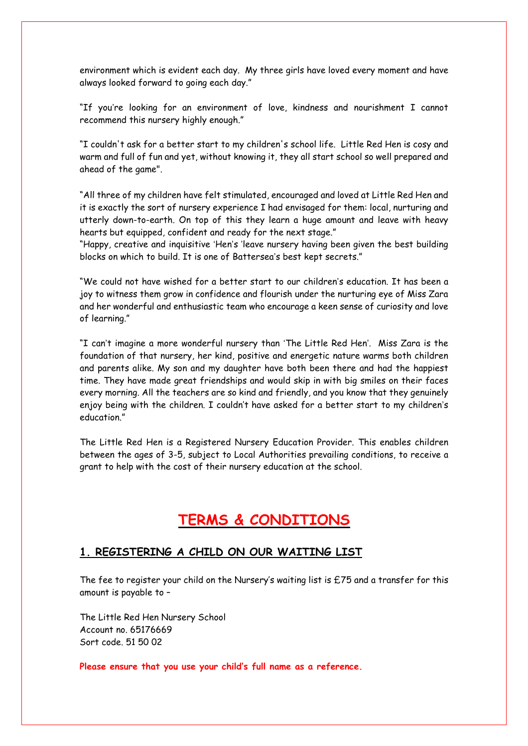environment which is evident each day. My three girls have loved every moment and have always looked forward to going each day."

"If you're looking for an environment of love, kindness and nourishment I cannot recommend this nursery highly enough."

"I couldn't ask for a better start to my children's school life. Little Red Hen is cosy and warm and full of fun and yet, without knowing it, they all start school so well prepared and ahead of the game".

"All three of my children have felt stimulated, encouraged and loved at Little Red Hen and it is exactly the sort of nursery experience I had envisaged for them: local, nurturing and utterly down-to-earth. On top of this they learn a huge amount and leave with heavy hearts but equipped, confident and ready for the next stage."

"Happy, creative and inquisitive 'Hen's 'leave nursery having been given the best building blocks on which to build. It is one of Battersea's best kept secrets."

"We could not have wished for a better start to our children's education. It has been a joy to witness them grow in confidence and flourish under the nurturing eye of Miss Zara and her wonderful and enthusiastic team who encourage a keen sense of curiosity and love of learning."

"I can't imagine a more wonderful nursery than 'The Little Red Hen'. Miss Zara is the foundation of that nursery, her kind, positive and energetic nature warms both children and parents alike. My son and my daughter have both been there and had the happiest time. They have made great friendships and would skip in with big smiles on their faces every morning. All the teachers are so kind and friendly, and you know that they genuinely enjoy being with the children. I couldn't have asked for a better start to my children's education."

The Little Red Hen is a Registered Nursery Education Provider. This enables children between the ages of 3-5, subject to Local Authorities prevailing conditions, to receive a grant to help with the cost of their nursery education at the school.

# **TERMS & CONDITIONS**

#### **1. REGISTERING A CHILD ON OUR WAITING LIST**

The fee to register your child on the Nursery's waiting list is  $£75$  and a transfer for this amount is payable to –

The Little Red Hen Nursery School Account no. 65176669 Sort code. 51 50 02

**Please ensure that you use your child's full name as a reference.**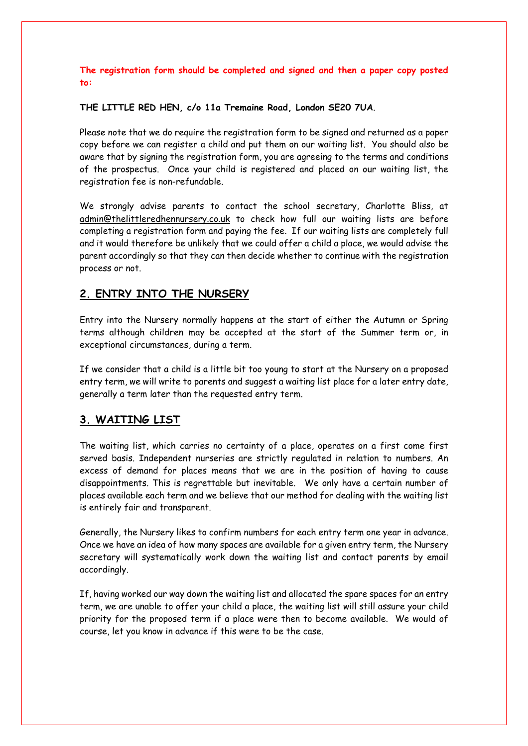**The registration form should be completed and signed and then a paper copy posted to:**

**THE LITTLE RED HEN, c/o 11a Tremaine Road, London SE20 7UA**.

Please note that we do require the registration form to be signed and returned as a paper copy before we can register a child and put them on our waiting list. You should also be aware that by signing the registration form, you are agreeing to the terms and conditions of the prospectus. Once your child is registered and placed on our waiting list, the registration fee is non-refundable.

We strongly advise parents to contact the school secretary, Charlotte Bliss, at [admin@thelittleredhennursery.co.uk](mailto:admin@thelittleredhennursery.co.uk) to check how full our waiting lists are before completing a registration form and paying the fee. If our waiting lists are completely full and it would therefore be unlikely that we could offer a child a place, we would advise the parent accordingly so that they can then decide whether to continue with the registration process or not.

#### **2. ENTRY INTO THE NURSERY**

Entry into the Nursery normally happens at the start of either the Autumn or Spring terms although children may be accepted at the start of the Summer term or, in exceptional circumstances, during a term.

If we consider that a child is a little bit too young to start at the Nursery on a proposed entry term, we will write to parents and suggest a waiting list place for a later entry date, generally a term later than the requested entry term.

#### **3. WAITING LIST**

The waiting list, which carries no certainty of a place, operates on a first come first served basis. Independent nurseries are strictly regulated in relation to numbers. An excess of demand for places means that we are in the position of having to cause disappointments. This is regrettable but inevitable. We only have a certain number of places available each term and we believe that our method for dealing with the waiting list is entirely fair and transparent.

Generally, the Nursery likes to confirm numbers for each entry term one year in advance. Once we have an idea of how many spaces are available for a given entry term, the Nursery secretary will systematically work down the waiting list and contact parents by email accordingly.

If, having worked our way down the waiting list and allocated the spare spaces for an entry term, we are unable to offer your child a place, the waiting list will still assure your child priority for the proposed term if a place were then to become available. We would of course, let you know in advance if this were to be the case.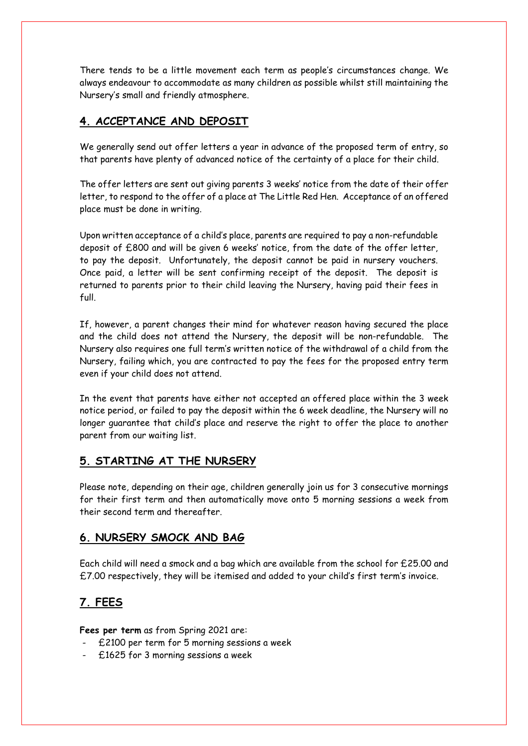There tends to be a little movement each term as people's circumstances change. We always endeavour to accommodate as many children as possible whilst still maintaining the Nursery's small and friendly atmosphere.

#### **4. ACCEPTANCE AND DEPOSIT**

We generally send out offer letters a year in advance of the proposed term of entry, so that parents have plenty of advanced notice of the certainty of a place for their child.

The offer letters are sent out giving parents 3 weeks' notice from the date of their offer letter, to respond to the offer of a place at The Little Red Hen. Acceptance of an offered place must be done in writing.

Upon written acceptance of a child's place, parents are required to pay a non-refundable deposit of £800 and will be given 6 weeks' notice, from the date of the offer letter, to pay the deposit. Unfortunately, the deposit cannot be paid in nursery vouchers. Once paid, a letter will be sent confirming receipt of the deposit. The deposit is returned to parents prior to their child leaving the Nursery, having paid their fees in full.

If, however, a parent changes their mind for whatever reason having secured the place and the child does not attend the Nursery, the deposit will be non-refundable. The Nursery also requires one full term's written notice of the withdrawal of a child from the Nursery, failing which, you are contracted to pay the fees for the proposed entry term even if your child does not attend.

In the event that parents have either not accepted an offered place within the 3 week notice period, or failed to pay the deposit within the 6 week deadline, the Nursery will no longer guarantee that child's place and reserve the right to offer the place to another parent from our waiting list.

#### **5. STARTING AT THE NURSERY**

Please note, depending on their age, children generally join us for 3 consecutive mornings for their first term and then automatically move onto 5 morning sessions a week from their second term and thereafter.

#### **6. NURSERY SMOCK AND BAG**

Each child will need a smock and a bag which are available from the school for £25.00 and £7.00 respectively, they will be itemised and added to your child's first term's invoice.

#### **7. FEES**

**Fees per term** as from Spring 2021 are:

- £2100 per term for 5 morning sessions a week
- £1625 for 3 morning sessions a week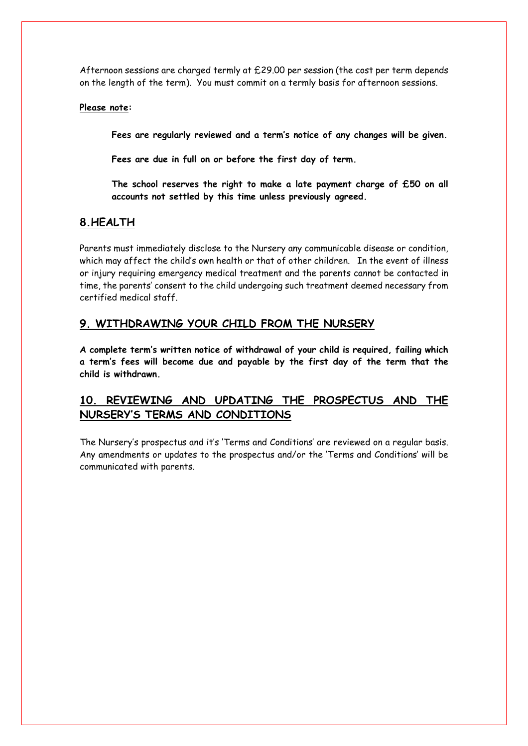Afternoon sessions are charged termly at £29.00 per session (the cost per term depends on the length of the term). You must commit on a termly basis for afternoon sessions.

#### **Please note:**

**Fees are regularly reviewed and a term's notice of any changes will be given.**

**Fees are due in full on or before the first day of term.**

**The school reserves the right to make a late payment charge of £50 on all accounts not settled by this time unless previously agreed.**

#### **8.HEALTH**

Parents must immediately disclose to the Nursery any communicable disease or condition, which may affect the child's own health or that of other children. In the event of illness or injury requiring emergency medical treatment and the parents cannot be contacted in time, the parents' consent to the child undergoing such treatment deemed necessary from certified medical staff.

#### **9. WITHDRAWING YOUR CHILD FROM THE NURSERY**

**A complete term's written notice of withdrawal of your child is required, failing which a term's fees will become due and payable by the first day of the term that the child is withdrawn.**

### **10. REVIEWING AND UPDATING THE PROSPECTUS AND THE NURSERY'S TERMS AND CONDITIONS**

The Nursery's prospectus and it's 'Terms and Conditions' are reviewed on a regular basis. Any amendments or updates to the prospectus and/or the 'Terms and Conditions' will be communicated with parents.